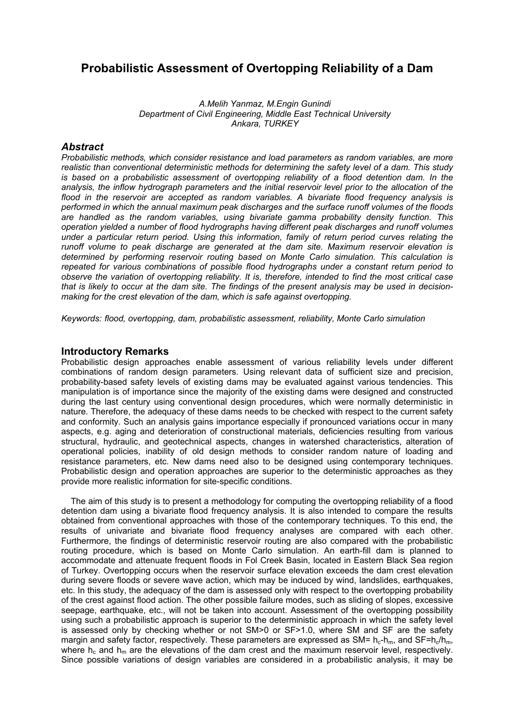# **Probabilistic Assessment of Overtopping Reliability of a Dam**

*A.Melih Yanmaz, M.Engin Gunindi Department of Civil Engineering, Middle East Technical University Ankara, TURKEY* 

## *Abstract*

*Probabilistic methods, which consider resistance and load parameters as random variables, are more realistic than conventional deterministic methods for determining the safety level of a dam. This study is based on a probabilistic assessment of overtopping reliability of a flood detention dam. In the analysis, the inflow hydrograph parameters and the initial reservoir level prior to the allocation of the*  flood in the reservoir are accepted as random variables. A bivariate flood frequency analysis is *performed in which the annual maximum peak discharges and the surface runoff volumes of the floods are handled as the random variables, using bivariate gamma probability density function. This operation yielded a number of flood hydrographs having different peak discharges and runoff volumes under a particular return period. Using this information, family of return period curves relating the runoff volume to peak discharge are generated at the dam site. Maximum reservoir elevation is determined by performing reservoir routing based on Monte Carlo simulation. This calculation is repeated for various combinations of possible flood hydrographs under a constant return period to observe the variation of overtopping reliability. It is, therefore, intended to find the most critical case that is likely to occur at the dam site. The findings of the present analysis may be used in decisionmaking for the crest elevation of the dam, which is safe against overtopping.* 

*Keywords: flood, overtopping, dam, probabilistic assessment, reliability, Monte Carlo simulation*

## **Introductory Remarks**

Probabilistic design approaches enable assessment of various reliability levels under different combinations of random design parameters. Using relevant data of sufficient size and precision, probability-based safety levels of existing dams may be evaluated against various tendencies. This manipulation is of importance since the majority of the existing dams were designed and constructed during the last century using conventional design procedures, which were normally deterministic in nature. Therefore, the adequacy of these dams needs to be checked with respect to the current safety and conformity. Such an analysis gains importance especially if pronounced variations occur in many aspects, e.g. aging and deterioration of constructional materials, deficiencies resulting from various structural, hydraulic, and geotechnical aspects, changes in watershed characteristics, alteration of operational policies, inability of old design methods to consider random nature of loading and resistance parameters, etc. New dams need also to be designed using contemporary techniques. Probabilistic design and operation approaches are superior to the deterministic approaches as they provide more realistic information for site-specific conditions.

 The aim of this study is to present a methodology for computing the overtopping reliability of a flood detention dam using a bivariate flood frequency analysis. It is also intended to compare the results obtained from conventional approaches with those of the contemporary techniques. To this end, the results of univariate and bivariate flood frequency analyses are compared with each other. Furthermore, the findings of deterministic reservoir routing are also compared with the probabilistic routing procedure, which is based on Monte Carlo simulation. An earth-fill dam is planned to accommodate and attenuate frequent floods in Fol Creek Basin, located in Eastern Black Sea region of Turkey. Overtopping occurs when the reservoir surface elevation exceeds the dam crest elevation during severe floods or severe wave action, which may be induced by wind, landslides, earthquakes, etc. In this study, the adequacy of the dam is assessed only with respect to the overtopping probability of the crest against flood action. The other possible failure modes, such as sliding of slopes, excessive seepage, earthquake, etc., will not be taken into account. Assessment of the overtopping possibility using such a probabilistic approach is superior to the deterministic approach in which the safety level is assessed only by checking whether or not SM>0 or SF>1.0, where SM and SF are the safety margin and safety factor, respectively. These parameters are expressed as SM=  $h_c-h_m$ , and SF= $h_c/h_m$ . where  $h_c$  and  $h_m$  are the elevations of the dam crest and the maximum reservoir level, respectively. Since possible variations of design variables are considered in a probabilistic analysis, it may be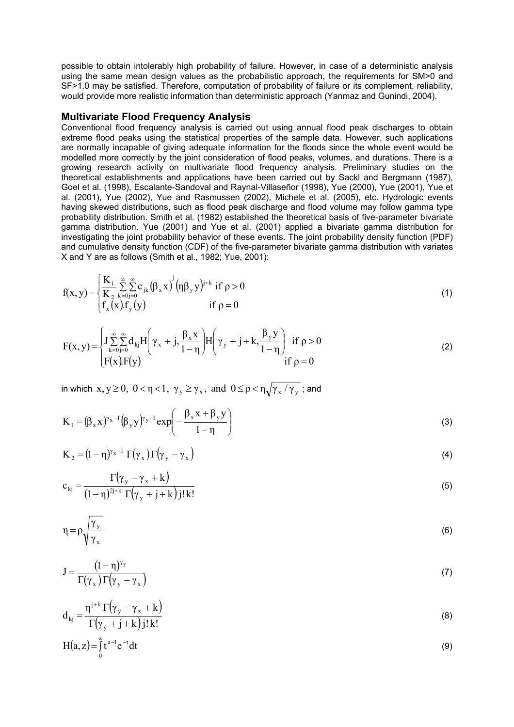possible to obtain intolerably high probability of failure. However, in case of a deterministic analysis using the same mean design values as the probabilistic approach, the requirements for SM>0 and SF>1.0 may be satisfied. Therefore, computation of probability of failure or its complement, reliability, would provide more realistic information than deterministic approach (Yanmaz and Gunindi, 2004).

#### **Multivariate Flood Frequency Analysis**

Conventional flood frequency analysis is carried out using annual flood peak discharges to obtain extreme flood peaks using the statistical properties of the sample data. However, such applications are normally incapable of giving adequate information for the floods since the whole event would be modelled more correctly by the joint consideration of flood peaks, volumes, and durations. There is a growing research activity on multivariate flood frequency analysis. Preliminary studies on the theoretical establishments and applications have been carried out by Sackl and Bergmann (1987), Goel et al. (1998), Escalante-Sandoval and Raynal-Villaseñor (1998), Yue (2000), Yue (2001), Yue et al. (2001), Yue (2002), Yue and Rasmussen (2002), Michele et al. (2005), etc. Hydrologic events having skewed distributions, such as flood peak discharge and flood volume may follow gamma type probability distribution. Smith et al. (1982) established the theoretical basis of five-parameter bivariate gamma distribution. Yue (2001) and Yue et al. (2001) applied a bivariate gamma distribution for investigating the joint probability behavior of these events. The joint probability density function (PDF) and cumulative density function (CDF) of the five-parameter bivariate gamma distribution with variates X and Y are as follows (Smith et al., 1982; Yue, 2001):

$$
f(x, y) = \begin{cases} \frac{K_1}{K_2} \sum_{k=0}^{\infty} \sum_{j=0}^{\infty} c_{jk} (\beta_x x)^j (\eta \beta_y y)^{j+k} & \text{if } \rho > 0\\ f_x(x) f_y(y) & \text{if } \rho = 0 \end{cases}
$$
(1)

$$
F(x,y) = \begin{cases} \int_{\substack{x=0 \ j=0 \ x>0}}^{\infty} \sum_{j=0}^{\infty} d_{kj} H\left(\gamma_x + j, \frac{\beta_x x}{1-\eta}\right) H\left(\gamma_y + j + k, \frac{\beta_y y}{1-\eta}\right) & \text{if } \rho > 0\\ F(x)F(y) & \text{if } \rho = 0 \end{cases}
$$
(2)

in which  $x, y \ge 0$ ,  $0 < \eta < 1$ ,  $\gamma_y \ge \gamma_x$ , and  $0 \le \rho < \eta \sqrt{\gamma_x / \gamma_y}$ ; and

$$
K_1 = (\beta_x x)^{\gamma_x - 1} (\beta_y y)^{\gamma_y - 1} exp\left(-\frac{\beta_x x + \beta_y y}{1 - \eta}\right)
$$
 (3)

$$
K_2 = (1 - \eta)^{\gamma_x - 1} \Gamma(\gamma_x) \Gamma(\gamma_y - \gamma_x)
$$
\n(4)

$$
c_{kj} = \frac{\Gamma(\gamma_y - \gamma_x + k)}{(1 - \eta)^{2j+k} \Gamma(\gamma_y + j + k) j! k!}
$$
\n(5)

$$
\eta = \rho \sqrt{\frac{\gamma_y}{\gamma_x}} \tag{6}
$$

$$
J = \frac{(1 - \eta)^{\gamma_y}}{\Gamma(\gamma_x)\Gamma(\gamma_y - \gamma_x)}
$$
 (7)

$$
d_{kj} = \frac{\eta^{j+k} \Gamma(\gamma_y - \gamma_x + k)}{\Gamma(\gamma_y + j + k) j! k!}
$$
 (8)

$$
H(a,z) = \int_{0}^{z} t^{a-1} e^{-t} dt
$$
 (9)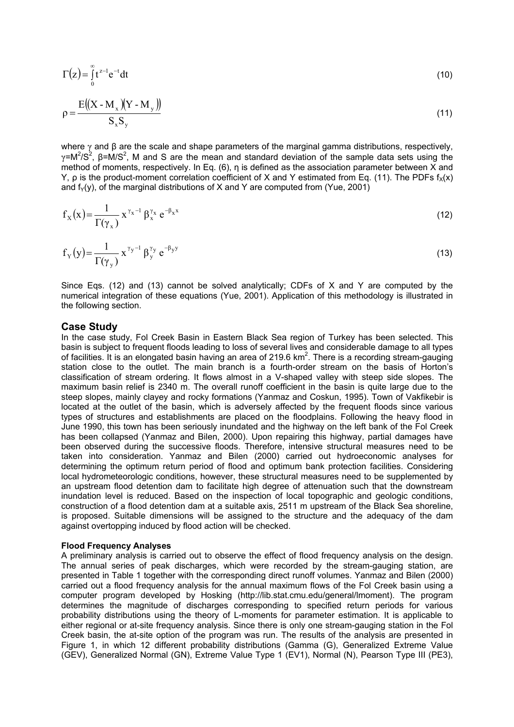$$
\Gamma(z) = \int_{0}^{\infty} t^{z-1} e^{-t} dt
$$
 (10)

$$
\rho = \frac{E((X - M_x)(Y - M_y))}{S_x S_y} \tag{11}
$$

where  $\gamma$  and  $\beta$  are the scale and shape parameters of the marginal gamma distributions, respectively, γ=M<sup>2</sup>/S<sup>2</sup>, β=M/S<sup>2</sup>, M and S are the mean and standard deviation of the sample data sets using the method of moments, respectively. In Eq. (6), η is defined as the association parameter between X and Y, o is the product-moment correlation coefficient of X and Y estimated from Eq. (11). The PDFs  $f_X(x)$ and  $f_Y(y)$ , of the marginal distributions of X and Y are computed from (Yue, 2001)

$$
f_X(x) = \frac{1}{\Gamma(\gamma_x)} x^{\gamma_x - 1} \beta_x^{\gamma_x} e^{-\beta_x x}
$$
 (12)

$$
f_Y(y) = \frac{1}{\Gamma(\gamma_y)} x^{\gamma_y - 1} \beta_y^{\gamma_y} e^{-\beta_y y}
$$
 (13)

Since Eqs. (12) and (13) cannot be solved analytically; CDFs of X and Y are computed by the numerical integration of these equations (Yue, 2001). Application of this methodology is illustrated in the following section.

## **Case Study**

In the case study, Fol Creek Basin in Eastern Black Sea region of Turkey has been selected. This basin is subject to frequent floods leading to loss of several lives and considerable damage to all types of facilities. It is an elongated basin having an area of 219.6 km<sup>2</sup>. There is a recording stream-gauging station close to the outlet. The main branch is a fourth-order stream on the basis of Horton's classification of stream ordering. It flows almost in a V-shaped valley with steep side slopes. The maximum basin relief is 2340 m. The overall runoff coefficient in the basin is quite large due to the steep slopes, mainly clayey and rocky formations (Yanmaz and Coskun, 1995). Town of Vakfikebir is located at the outlet of the basin, which is adversely affected by the frequent floods since various types of structures and establishments are placed on the floodplains. Following the heavy flood in June 1990, this town has been seriously inundated and the highway on the left bank of the Fol Creek has been collapsed (Yanmaz and Bilen, 2000). Upon repairing this highway, partial damages have been observed during the successive floods. Therefore, intensive structural measures need to be taken into consideration. Yanmaz and Bilen (2000) carried out hydroeconomic analyses for determining the optimum return period of flood and optimum bank protection facilities. Considering local hydrometeorologic conditions, however, these structural measures need to be supplemented by an upstream flood detention dam to facilitate high degree of attenuation such that the downstream inundation level is reduced. Based on the inspection of local topographic and geologic conditions, construction of a flood detention dam at a suitable axis, 2511 m upstream of the Black Sea shoreline, is proposed. Suitable dimensions will be assigned to the structure and the adequacy of the dam against overtopping induced by flood action will be checked.

#### **Flood Frequency Analyses**

A preliminary analysis is carried out to observe the effect of flood frequency analysis on the design. The annual series of peak discharges, which were recorded by the stream-gauging station, are presented in Table 1 together with the corresponding direct runoff volumes. Yanmaz and Bilen (2000) carried out a flood frequency analysis for the annual maximum flows of the Fol Creek basin using a computer program developed by Hosking (http://lib.stat.cmu.edu/general/lmoment). The program determines the magnitude of discharges corresponding to specified return periods for various probability distributions using the theory of L-moments for parameter estimation. It is applicable to either regional or at-site frequency analysis. Since there is only one stream-gauging station in the Fol Creek basin, the at-site option of the program was run. The results of the analysis are presented in Figure 1, in which 12 different probability distributions (Gamma (G), Generalized Extreme Value (GEV), Generalized Normal (GN), Extreme Value Type 1 (EV1), Normal (N), Pearson Type III (PE3),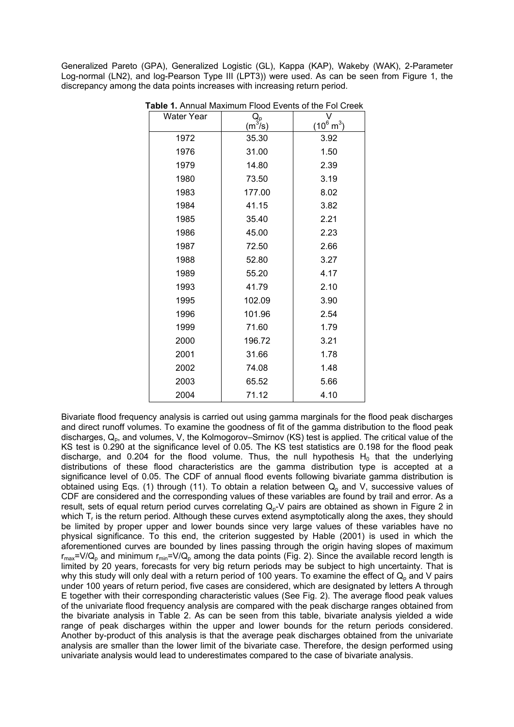Generalized Pareto (GPA), Generalized Logistic (GL), Kappa (KAP), Wakeby (WAK), 2-Parameter Log-normal (LN2), and log-Pearson Type III (LPT3)) were used. As can be seen from Figure 1, the discrepancy among the data points increases with increasing return period.

| Water Year | $Q_p$<br>(m $3/$ s) | $(10^6 \text{ m}^3)$ |
|------------|---------------------|----------------------|
| 1972       | 35.30               | 3.92                 |
| 1976       | 31.00               | 1.50                 |
| 1979       | 14.80               | 2.39                 |
| 1980       | 73.50               | 3.19                 |
| 1983       | 177.00              | 8.02                 |
| 1984       | 41.15               | 3.82                 |
| 1985       | 35.40               | 2.21                 |
| 1986       | 45.00               | 2.23                 |
| 1987       | 72.50               | 2.66                 |
| 1988       | 52.80               | 3.27                 |
| 1989       | 55.20               | 4.17                 |
| 1993       | 41.79               | 2.10                 |
| 1995       | 102.09              | 3.90                 |
| 1996       | 101.96              | 2.54                 |
| 1999       | 71.60               | 1.79                 |
| 2000       | 196.72              | 3.21                 |
| 2001       | 31.66               | 1.78                 |
| 2002       | 74.08               | 1.48                 |
| 2003       | 65.52               | 5.66                 |
| 2004       | 71.12               | 4.10                 |

 **Table 1.** Annual Maximum Flood Events of the Fol Creek

Bivariate flood frequency analysis is carried out using gamma marginals for the flood peak discharges and direct runoff volumes. To examine the goodness of fit of the gamma distribution to the flood peak discharges,  $Q_p$ , and volumes, V, the Kolmogorov–Smirnov (KS) test is applied. The critical value of the KS test is 0.290 at the significance level of 0.05. The KS test statistics are 0.198 for the flood peak discharge, and 0.204 for the flood volume. Thus, the null hypothesis  $H_0$  that the underlying distributions of these flood characteristics are the gamma distribution type is accepted at a significance level of 0.05. The CDF of annual flood events following bivariate gamma distribution is obtained using Eqs. (1) through (11). To obtain a relation between  $Q_p$  and V, successive values of CDF are considered and the corresponding values of these variables are found by trail and error. As a result, sets of equal return period curves correlating  $Q_p$ -V pairs are obtained as shown in Figure 2 in which T<sub>r</sub> is the return period. Although these curves extend asymptotically along the axes, they should be limited by proper upper and lower bounds since very large values of these variables have no physical significance. To this end, the criterion suggested by Hable (2001) is used in which the aforementioned curves are bounded by lines passing through the origin having slopes of maximum  $r_{max}=V/Q_p$  and minimum  $r_{min}=V/Q_p$  among the data points (Fig. 2). Since the available record length is limited by 20 years, forecasts for very big return periods may be subject to high uncertainty. That is why this study will only deal with a return period of 100 years. To examine the effect of  $Q_p$  and V pairs under 100 years of return period, five cases are considered, which are designated by letters A through E together with their corresponding characteristic values (See Fig. 2). The average flood peak values of the univariate flood frequency analysis are compared with the peak discharge ranges obtained from the bivariate analysis in Table 2. As can be seen from this table, bivariate analysis yielded a wide range of peak discharges within the upper and lower bounds for the return periods considered. Another by-product of this analysis is that the average peak discharges obtained from the univariate analysis are smaller than the lower limit of the bivariate case. Therefore, the design performed using univariate analysis would lead to underestimates compared to the case of bivariate analysis.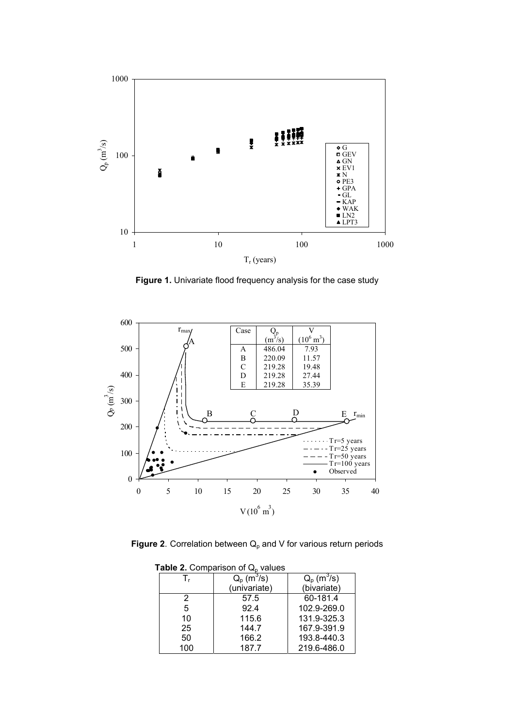

**Figure 1.** Univariate flood frequency analysis for the case study



**Figure 2**. Correlation between  $Q_p$  and V for various return periods

| able $2.$ Comparison of $Q_0$ values |              |              |
|--------------------------------------|--------------|--------------|
| T,                                   | $Q_p(m^3/s)$ | $Q_p(m^3/s)$ |
|                                      | (univariate) | (bivariate)  |
| 2                                    | 57.5         | 60-181.4     |
| 5                                    | 92.4         | 102.9-269.0  |
| 10                                   | 115.6        | 131.9-325.3  |
| 25                                   | 144.7        | 167.9-391.9  |
| 50                                   | 166.2        | 193.8-440.3  |
| 100                                  | 187.7        | 219.6-486.0  |

**Table 2.** Comparison of Q<sub>p</sub> values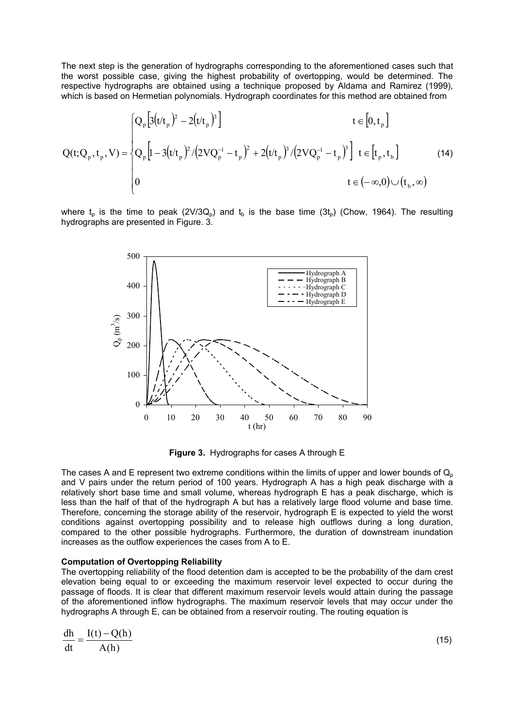The next step is the generation of hydrographs corresponding to the aforementioned cases such that the worst possible case, giving the highest probability of overtopping, would be determined. The respective hydrographs are obtained using a technique proposed by Aldama and Ramirez (1999), which is based on Hermetian polynomials. Hydrograph coordinates for this method are obtained from

$$
Q(t; Q_p, t_p, V) = \begin{cases} Q_p \left[ 3(t/t_p)^2 - 2(t/t_p)^3 \right] & t \in [0, t_p] \\ Q_p \left[ 1 - 3(t/t_p)^2 / (2VQ_p^{-1} - t_p)^2 + 2(t/t_p)^3 / (2VQ_p^{-1} - t_p)^3 \right] & t \in [t_p, t_b] \\ 0 & t \in (-\infty, 0) \cup (t_b, \infty) \end{cases}
$$
(14)

where  $t_0$  is the time to peak (2V/3Q<sub>0</sub>) and  $t_0$  is the base time (3t<sub>0</sub>) (Chow, 1964). The resulting hydrographs are presented in Figure. 3.



**Figure 3.** Hydrographs for cases A through E

The cases A and E represent two extreme conditions within the limits of upper and lower bounds of  $Q_{p}$ and V pairs under the return period of 100 years. Hydrograph A has a high peak discharge with a relatively short base time and small volume, whereas hydrograph E has a peak discharge, which is less than the half of that of the hydrograph A but has a relatively large flood volume and base time. Therefore, concerning the storage ability of the reservoir, hydrograph E is expected to yield the worst conditions against overtopping possibility and to release high outflows during a long duration, compared to the other possible hydrographs. Furthermore, the duration of downstream inundation increases as the outflow experiences the cases from A to E.

#### **Computation of Overtopping Reliability**

The overtopping reliability of the flood detention dam is accepted to be the probability of the dam crest elevation being equal to or exceeding the maximum reservoir level expected to occur during the passage of floods. It is clear that different maximum reservoir levels would attain during the passage of the aforementioned inflow hydrographs. The maximum reservoir levels that may occur under the hydrographs A through E, can be obtained from a reservoir routing. The routing equation is

$$
\frac{dh}{dt} = \frac{I(t) - Q(h)}{A(h)}
$$
\n(15)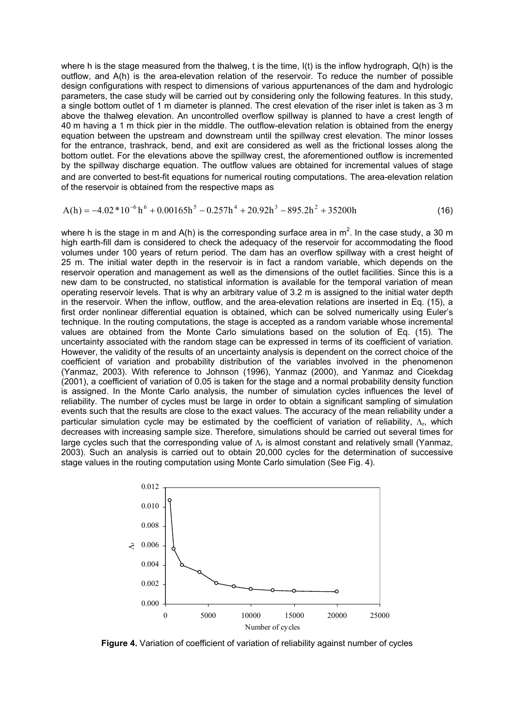where h is the stage measured from the thalweg, t is the time, I(t) is the inflow hydrograph, Q(h) is the outflow, and A(h) is the area-elevation relation of the reservoir. To reduce the number of possible design configurations with respect to dimensions of various appurtenances of the dam and hydrologic parameters, the case study will be carried out by considering only the following features. In this study, a single bottom outlet of 1 m diameter is planned. The crest elevation of the riser inlet is taken as 3 m above the thalweg elevation. An uncontrolled overflow spillway is planned to have a crest length of 40 m having a 1 m thick pier in the middle. The outflow-elevation relation is obtained from the energy equation between the upstream and downstream until the spillway crest elevation. The minor losses for the entrance, trashrack, bend, and exit are considered as well as the frictional losses along the bottom outlet. For the elevations above the spillway crest, the aforementioned outflow is incremented by the spillway discharge equation. The outflow values are obtained for incremental values of stage and are converted to best-fit equations for numerical routing computations. The area-elevation relation of the reservoir is obtained from the respective maps as

$$
A(h) = -4.02 * 10^{-6} h^6 + 0.00165 h^5 - 0.257 h^4 + 20.92 h^3 - 895.2 h^2 + 35200 h
$$
 (16)

where h is the stage in m and A(h) is the corresponding surface area in m<sup>2</sup>. In the case study, a 30 m high earth-fill dam is considered to check the adequacy of the reservoir for accommodating the flood volumes under 100 years of return period. The dam has an overflow spillway with a crest height of 25 m. The initial water depth in the reservoir is in fact a random variable, which depends on the reservoir operation and management as well as the dimensions of the outlet facilities. Since this is a new dam to be constructed, no statistical information is available for the temporal variation of mean operating reservoir levels. That is why an arbitrary value of 3.2 m is assigned to the initial water depth in the reservoir. When the inflow, outflow, and the area-elevation relations are inserted in Eq. (15), a first order nonlinear differential equation is obtained, which can be solved numerically using Euler's technique. In the routing computations, the stage is accepted as a random variable whose incremental values are obtained from the Monte Carlo simulations based on the solution of Eq. (15). The uncertainty associated with the random stage can be expressed in terms of its coefficient of variation. However, the validity of the results of an uncertainty analysis is dependent on the correct choice of the coefficient of variation and probability distribution of the variables involved in the phenomenon (Yanmaz, 2003). With reference to Johnson (1996), Yanmaz (2000), and Yanmaz and Cicekdag (2001), a coefficient of variation of 0.05 is taken for the stage and a normal probability density function is assigned. In the Monte Carlo analysis, the number of simulation cycles influences the level of reliability. The number of cycles must be large in order to obtain a significant sampling of simulation events such that the results are close to the exact values. The accuracy of the mean reliability under a particular simulation cycle may be estimated by the coefficient of variation of reliability, Δ<sub>r</sub>, which decreases with increasing sample size. Therefore, simulations should be carried out several times for large cycles such that the corresponding value of  $\Lambda_r$  is almost constant and relatively small (Yanmaz, 2003). Such an analysis is carried out to obtain 20,000 cycles for the determination of successive stage values in the routing computation using Monte Carlo simulation (See Fig. 4).



**Figure 4.** Variation of coefficient of variation of reliability against number of cycles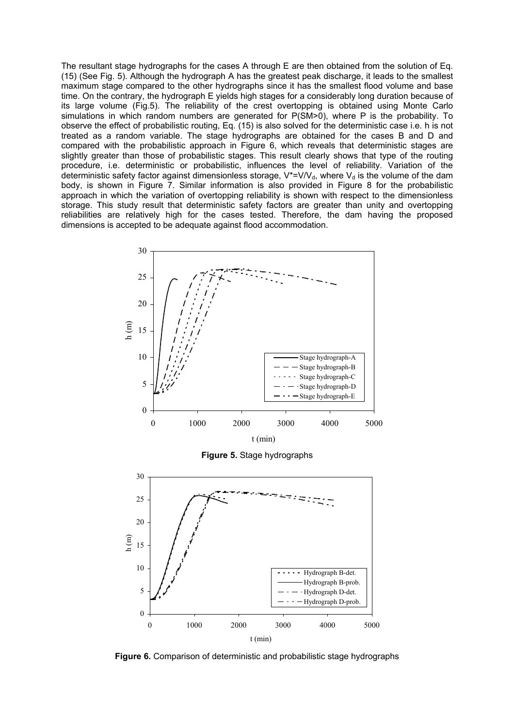The resultant stage hydrographs for the cases A through E are then obtained from the solution of Eq. (15) (See Fig. 5). Although the hydrograph A has the greatest peak discharge, it leads to the smallest maximum stage compared to the other hydrographs since it has the smallest flood volume and base time. On the contrary, the hydrograph E yields high stages for a considerably long duration because of its large volume (Fig.5). The reliability of the crest overtopping is obtained using Monte Carlo simulations in which random numbers are generated for P(SM>0), where P is the probability. To observe the effect of probabilistic routing, Eq. (15) is also solved for the deterministic case i.e. h is not treated as a random variable. The stage hydrographs are obtained for the cases B and D and compared with the probabilistic approach in Figure 6, which reveals that deterministic stages are slightly greater than those of probabilistic stages. This result clearly shows that type of the routing procedure, i.e. deterministic or probabilistic, influences the level of reliability. Variation of the deterministic safety factor against dimensionless storage,  $V^*=V/V_d$ , where  $V_d$  is the volume of the dam body, is shown in Figure 7. Similar information is also provided in Figure 8 for the probabilistic approach in which the variation of overtopping reliability is shown with respect to the dimensionless storage. This study result that deterministic safety factors are greater than unity and overtopping reliabilities are relatively high for the cases tested. Therefore, the dam having the proposed dimensions is accepted to be adequate against flood accommodation.



**Figure 5.** Stage hydrographs



**Figure 6.** Comparison of deterministic and probabilistic stage hydrographs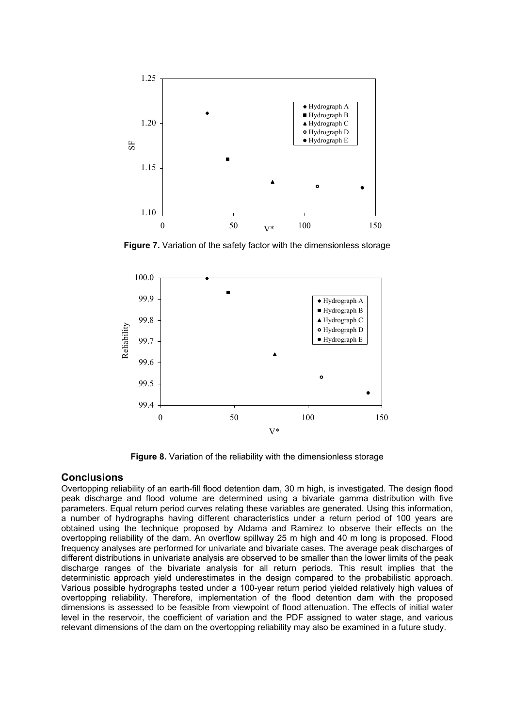

**Figure 7.** Variation of the safety factor with the dimensionless storage



**Figure 8.** Variation of the reliability with the dimensionless storage

## **Conclusions**

Overtopping reliability of an earth-fill flood detention dam, 30 m high, is investigated. The design flood peak discharge and flood volume are determined using a bivariate gamma distribution with five parameters. Equal return period curves relating these variables are generated. Using this information, a number of hydrographs having different characteristics under a return period of 100 years are obtained using the technique proposed by Aldama and Ramirez to observe their effects on the overtopping reliability of the dam. An overflow spillway 25 m high and 40 m long is proposed. Flood frequency analyses are performed for univariate and bivariate cases. The average peak discharges of different distributions in univariate analysis are observed to be smaller than the lower limits of the peak discharge ranges of the bivariate analysis for all return periods. This result implies that the deterministic approach yield underestimates in the design compared to the probabilistic approach. Various possible hydrographs tested under a 100-year return period yielded relatively high values of overtopping reliability. Therefore, implementation of the flood detention dam with the proposed dimensions is assessed to be feasible from viewpoint of flood attenuation. The effects of initial water level in the reservoir, the coefficient of variation and the PDF assigned to water stage, and various relevant dimensions of the dam on the overtopping reliability may also be examined in a future study.